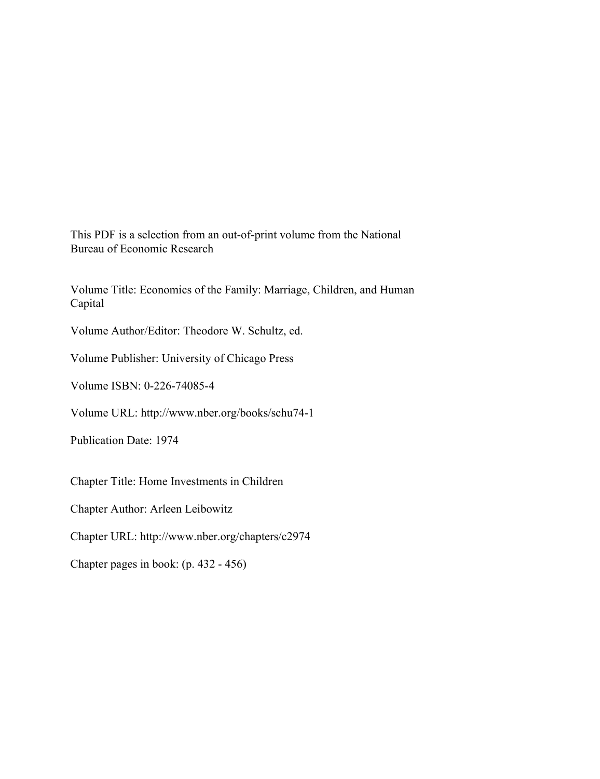This PDF is a selection from an out-of-print volume from the National Bureau of Economic Research

Volume Title: Economics of the Family: Marriage, Children, and Human Capital

Volume Author/Editor: Theodore W. Schultz, ed.

Volume Publisher: University of Chicago Press

Volume ISBN: 0-226-74085-4

Volume URL: http://www.nber.org/books/schu74-1

Publication Date: 1974

Chapter Title: Home Investments in Children

Chapter Author: Arleen Leibowitz

Chapter URL: http://www.nber.org/chapters/c2974

Chapter pages in book: (p. 432 - 456)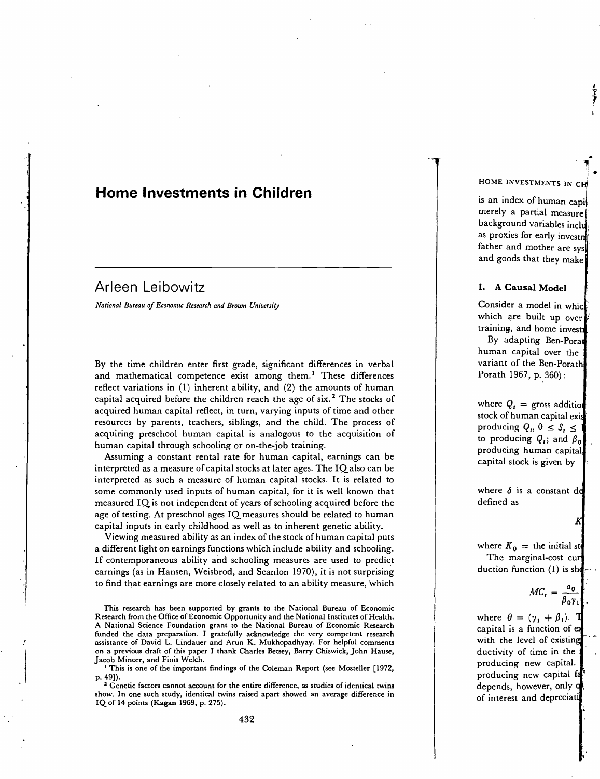# Home Investments in Children

# Arleen Leibowitz

National Bureau of Economic Research and Brown University

By the time children enter first grade, significant differences in verbal and mathematical competence exist among them.' These differences reflect variations in (1) inherent ability, and (2) the amounts of human capital acquired before the children reach the age of  $\sin^2$  The stocks of acquired human capital reflect, in turn, varying inputs of time and other resources by parents, teachers, siblings, and the child. The process of acquiring preschool human capital is analogous to the acquisition of human capital through schooling or on-the-job training.

Assuming a constant rental rate for human capital, earnings can be interpreted as a measure of capital stocks at later ages. The  $IQ$  also can be interpreted as such a measure of human capital stocks. It is related to some commonly used inputs of human capital, for it is well known that measured IQ is not independent of years of schooling acquired before the age of testing. At preschool ages IQ measures should be related to human capital inputs in early childhood as well as to inherent genetic ability.

Viewing measured ability as an index of the stock of human capital puts a different light on earnings functions which include ability and schooling. If contemporaneous ability and schooling measures are used to predict earnings (as in Hansen, Weisbrod, and Scanlon 1970), it is not surprising to find that earnings are more closely related to an ability measure, which

This research has been supported by grants to the National Bureau of Economic Research from the Office of Economic Opportunity and the National Institutes of Health. A National Science Foundation grant to the National Bureau of Economic Research funded the data preparation. I gratefully acknowledge the very competent research assistance of David L. Lindauer and Arun K. Mukhopadhyay. For helpful comments on a previous draft of this paper I thank Charles Betsey, Barry Chiswick, John Hause, Jacob Mincer, and Finis Welch.

'This is one of the important findings of the Coleman Report (see Mosteller [1972, p. 49]).<br><sup>2</sup> Genetic factors cannot account for the entire difference, as studies of identical twins

show. In one such study, identical twins raised apart showed an average difference in IQof 14 points (Kagan 1969, p. 275).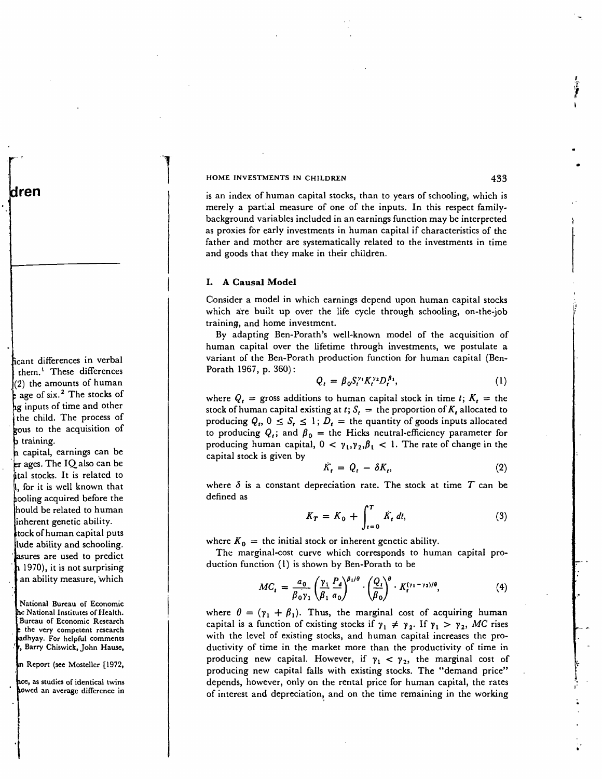is an index of human capital stocks, than to years of schooling, which is merely a partial measure of one of the inputs. In this respect familybackground variables included in an earnings function may be interpreted as proxies for early investments in human capital if characteristics of the father and mother are systematically related to the investments in time and goods that they make in their children.

#### I. A Causal Model

Consider a model in which earnings depend upon human capital stocks which are built up over the life cycle through schooling, on-the-job training, and home investment.

By adapting Ben-Porath's well-known model of the acquisition of human capital over the lifetime through investments, we postulate a variant of the Ben-Porath production function for human capital (Ben-Porath 1967, p.  $360$ :

$$
Q_t = \beta_0 S_t^{\gamma_1} K_t^{\gamma_2} D_t^{\beta_1}, \qquad (1)
$$

where  $Q_t$  = gross additions to human capital stock in time t;  $K_t$  = the stock of human capital existing at t;  $S_t =$  the proportion of  $K_t$  allocated to producing  $Q_t$ ,  $0 \leq S_t \leq 1$ ;  $D_t$  = the quantity of goods inputs allocated to producing  $Q_t$ ; and  $\beta_0$  = the Hicks neutral-efficiency parameter for variant of the Ben-Porath production function for human capital (Ben-<br>Porath 1967, p. 360):<br> $Q_t = \beta_0 S_t^{\gamma_1} K_t^{\gamma_2} D_t^{\beta_1}$ , (1)<br>where  $Q_t$  = gross additions to human capital stock in time t;  $K_t$  = the<br>stock of human c producing human capital,  $0 < \gamma_1, \gamma_2, \beta_1 < 1$ . The rate of change in the capital stock is given by

$$
\dot{K}_t = Q_t - \delta K_t, \qquad (2)
$$

where  $\delta$  is a constant depreciation rate. The stock at time T can be defined as

$$
K_T = K_0 + \int_{t=0}^T \dot{K}_t dt,
$$
 (3)

where  $K_0 =$  the initial stock or inherent genetic ability.

The marginal-cost curve which corresponds to human capital production function (1) is shown by Ben-Porath to be

$$
MC_t = \frac{a_0}{\beta_0 \gamma_1} \left(\frac{\gamma_1}{\beta_1} \frac{P_d}{a_0}\right)^{\beta_1/\theta} \cdot \left(\frac{Q_t}{\beta_0}\right)^{\theta} \cdot K_t^{(\gamma_1 - \gamma_2)/\theta}, \tag{4}
$$

where  $\theta = (\gamma_1 + \beta_1)$ . Thus, the marginal cost of acquiring human capital is a function of existing stocks if  $\gamma_1 \neq \gamma_2$ . If  $\gamma_1 > \gamma_2$ , MC rises with the level of existing stocks, and human capital increases the productivity of time in the market more than the productivity of time in producing new capital. However, if  $\gamma_1 < \gamma_2$ , the marginal cost of producing new capital falls with existing stocks. The "demand price" depends, however, only on the rental price for human capital, the rates of interest and depreciation, and on the time remaining in the working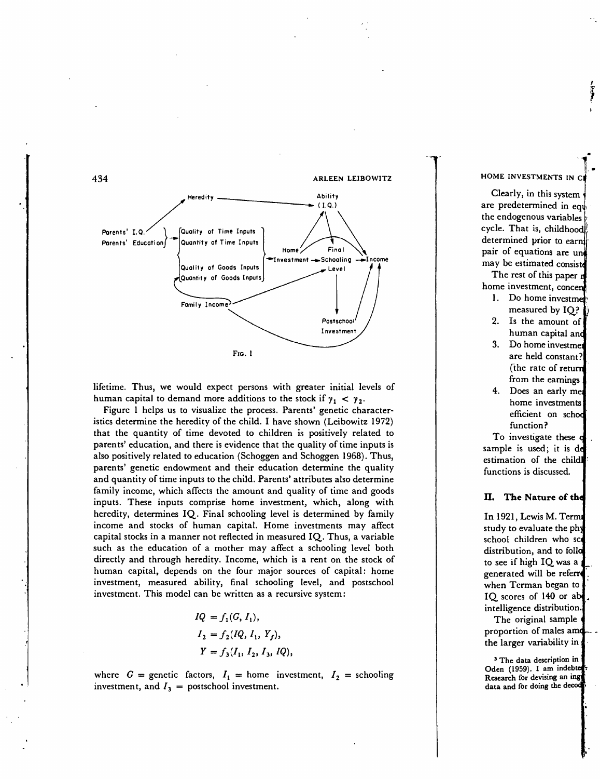

lifetime. Thus, we would expect persons with greater initial levels of human capital to demand more additions to the stock if  $y_1 < y_2$ .

Figure 1 helps us to visualize the process. Parents' genetic characteristics determine the heredity of the child. I have shown (Leibowitz 1972) that the quantity of time devoted to children is positively related to parents' education, and there is evidence that the quality of time inputs is also positively related to education (Schoggen and Schoggen 1968). Thus, parents' genetic endowment and their education determine the quality and quantity of time inputs to the child. Parents' attributes also determine family income, which affects the amount and quality of time and goods inputs. These inputs comprise home investment, which, along with heredity, determines IQ. Final schooling level is determined by family income and stocks of human capital. Home investments may affect capital stocks in a manner not reflected in measured IQ. Thus, a variable such as the education of a mother may affect a schooling level both directly and through heredity. Income, which is a rent on the stock of human capital, depends on the four major sources of capital: home investment, measured ability, final schooling level, and postschool investment. This model can be written as a recursive system:

$$
IQ = f_1(G, I_1),
$$
  
\n
$$
I_2 = f_2(IQ, I_1, Y_f),
$$
  
\n
$$
Y = f_3(I_1, I_2, I_3, IQ),
$$

where  $G =$  genetic factors,  $I_1 =$  home investment,  $I_2 =$  schooling investment, and  $I_3$  = postschool investment.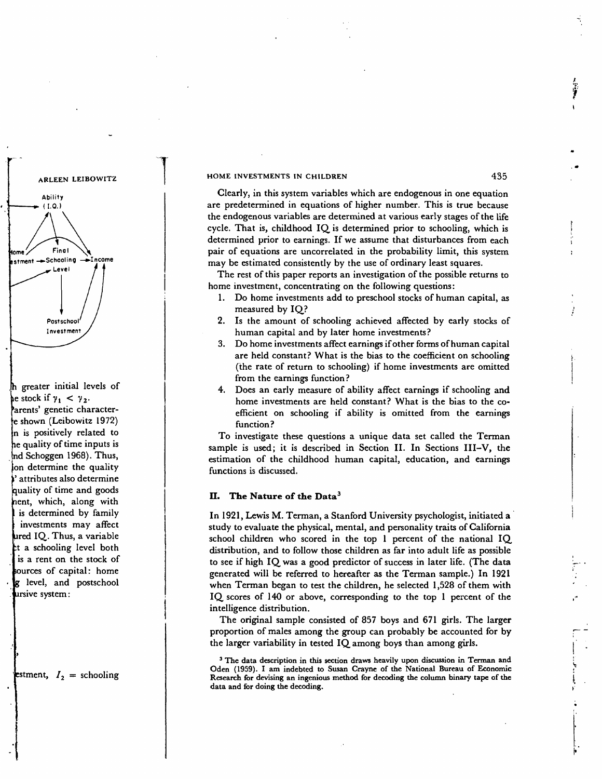Clearly, in this system variables which are endogenous in one equation are predetermined in equations of higher number. This is true because the endogenous variables are determined at various early stages of the life cycle. That is, childhood IQ is determined prior to schooling, which is determined prior to earnings. If we assume that disturbances from each pair of equations are uncorrelated in the probability limit, this system may be estimated consistently by the use of ordinary least squares.

The rest of this paper reports an investigation of the possible returns to home investment, concentrating on the following questions:

- I. Do home investments add to preschool stocks of human capital, as measured by IQ?
- 2. Is the amount of schooling achieved affected by early stocks of human capital and by later home investments?
- 3. Do home investments affect earnings if other forms of human capital are held constant? What is the bias to the coefficient on schooling (the rate of return to schooling) if home investments are omitted from the earnings function?
- 4. Does an early measure of ability affect earnings if schooling and home investments are held constant? What is the bias to the coefficient on schooling if ability is omitted from the earnings function?

To investigate these questions a unique data set called the Terman sample is used; it is described in Section II. In Sections III—V, the estimation of the childhood human capital, education, and earnings functions is discussed.

#### II. The Nature of the Data<sup>3</sup>

From the index of the control of the control of the control of the control of the control of the control of the control of the control of the control of the control of the control of the control of the control of the contr In 1921, Lewis M. Terman, a Stanford University psychologist, initiated a study to evaluate the physical, mental, and personality traits of California school children who scored in the top <sup>1</sup> percent of the national IQ distribution, and to follow those children as far into adult life as possible to see if high IQ was a good predictor of success in later life. (The data generated will be referred to hereafter as the Terman sample.) In 1921 when Terman began to test the children, he selected 1,528 of them with IQ scores of 140 or above, corresponding to the top 1 percent of the intelligence distribution.

The original sample consisted of 857 boys and 671 girls. The larger proportion of males among the group can probably be accounted for by the larger variability in tested IQ among boys than among girls.

<sup>3</sup> The data description in this section draws heavily upon discussion in Terman and Oden (1959). I am indebted to Susan Crayne of the National Bureau of Economic Research for devising an ingenious method for decoding the column binary tape of the data and for doing the decoding.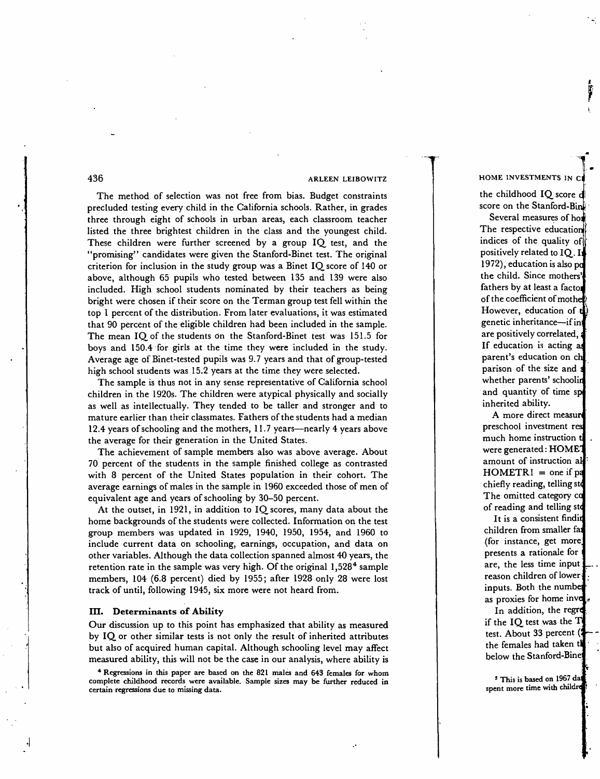$\cdot$ 

The method of selection was not free from bias. Budget constraints precluded testing every child in the California schools. Rather, in grades three through eight of schools in urban areas, each classroom teacher listed the three brightest children in the class and the youngest child. These children were further screened by a group IQ test, and the "promising" candidates were given the Stanford-Binet test. The original criterion for inclusion in the study group was a Binet IQ score of 140 or above, although 65 pupils who tested between 135 and 139 were also included. High school students nominated by their teachers as being bright were chosen if their score on the Terman group test fell within the top 1 percent of the distribution. From later evaluations, it was estimated that 90 percent of the eligible children had been included in the sample. The mean IQ of the students on the Stanford-Binet test was 151.5 for boys and 150.4 for girls at the time they were included in the study. Average age of Binet-tested pupils was 9.7 years and that of group-tested high school students was 15.2 years at the time they were selected.

The sample is thus not in any sense representative of California school children in the 1920s. The children were atypical physically and socially as well as intellectually. They tended to be taller and stronger and to mature earlier than their classmates. Fathers of the students had a median 12.4 years of schooling and the mothers, 11.7 years—nearly 4 years above the average for their generation in the United States.

The achievement of sample members also was above average. About 70 percent of the students in the sample finished college as contrasted with 8 percent of the United States population in their cohort. The average earnings of males in the sample in 1960 exceeded those of men of equivalent age and years of schooling by 30—50 percent.

At the outset, in 1921, in addition to  $IQ$  scores, many data about the home backgrounds of the students were collected. Information on the test group members was updated in 1929, 1940, 1950, 1954, and 1960 to include current data on schooling, earnings, occupation, and data on other variables. Although the data collection spanned almost 40 years, the retention rate in the sample was very high. Of the original  $1,528<sup>4</sup>$  sample members, 104 (6.8 percent) died by 1955; after 1928 only 28 were lost track of until, following 1945, six more were not heard from.

#### III. Determinants of Ability

Our discussion up to this point has emphasized that ability as measured by IQ or other similar tests is not only the result of inherited attributes but also of acquired human capital. Although schooling level may affect measured ability, this will not be the case in our analysis, where ability is

<sup>&</sup>lt;sup>4</sup> Regressions in this paper are based on the 821 males and 643 females for whom complete childhood records were available. Sample sizes may be further reduced in certain regressions due to missing data.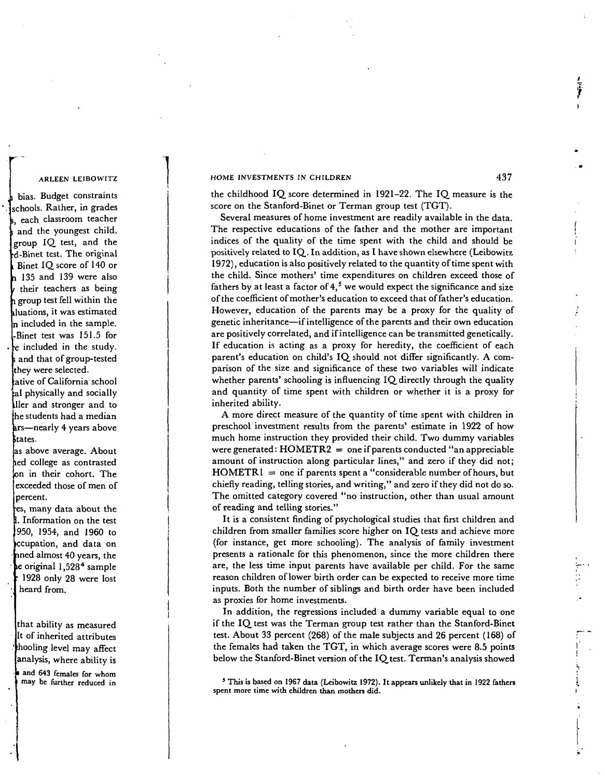the childhood IQ score determined in 192 1—22. The IQ measure is the score on the Stanford-Binet or Terman group test (TGT).

Several measures of home investment are readily available in the data. The respective educations of the father and the mother are important indices of the quality of the time spent with the child and should be positively related to IQ. In addition, as I have shown elsewhere (Leibowitz 1972), education is also positively related to the quantity of time spent with the child. Since mothers' time expenditures on children exceed those of fathers by at least a factor of  $4<sup>5</sup>$  we would expect the significance and size of the coefficient of mother's education to exceed that of father's education. However, education of the parents may be a proxy for the quality of genetic inheritance—if intelligence of the parents and their own education are positively correlated, and if intelligence can be transmitted genetically. If education is acting as a proxy for heredity, the coefficient of each parent's education on child's IQ should not differ significantly. A comparison of the size and significance of these two variables will indicate whether parents' schooling is influencing IQ directly through the quality and quantity of time spent with children or whether it is a proxy for inherited ability. the children dial of correlations of the children of 1921-<br>socre on the Stanford-Binet or Terman group<br>Several measures of home investment are reference excered measures of home investment are ref<br>indices of the quality o

A more direct measure of the quantity of time spent with children in preschool investment results from the parents' estimate in 1922 of how much home instruction they provided their child. Two dummy variables were generated:  $HOMETR2 = one if parents conducted "an appreciable"$ amount of instruction along particular lines," and zero if they did not;  $HOMETRI =$  one if parents spent a "considerable number of hours, but chiefly reading, telling stories, and writing," and zero if they did not do so. The omitted category covered "no instruction, other than usual amount of reading and telling stories."

It is a consistent finding of psychological studies that first children and children from smaller families score higher on IQ tests and achieve more (for instance, get more schooling). The analysis of family investment presents a rationale for this phenomenon, since the more children there are, the less time input parents have available per child. For the same reason children of lower birth order can be expected to receive more time inputs. Both the number of siblings and birth order have been included as proxies for home investments.

In addition, the regressions included a dummy variable equal to one if the IQ test was the Terman group test rather than the Stanford-Binet test. About 33 percent (268) of the male subjects and 26 percent (168) of the females had taken the TGT, in which average scores were 8.5 points below the Stanford-Binet version of the IQ test. Terman's analysis showed

<sup>5</sup> This is based on 1967 data (Leibowitz 1972). It appears unlikely that in 1922 fathers spent more time with children than mothers did.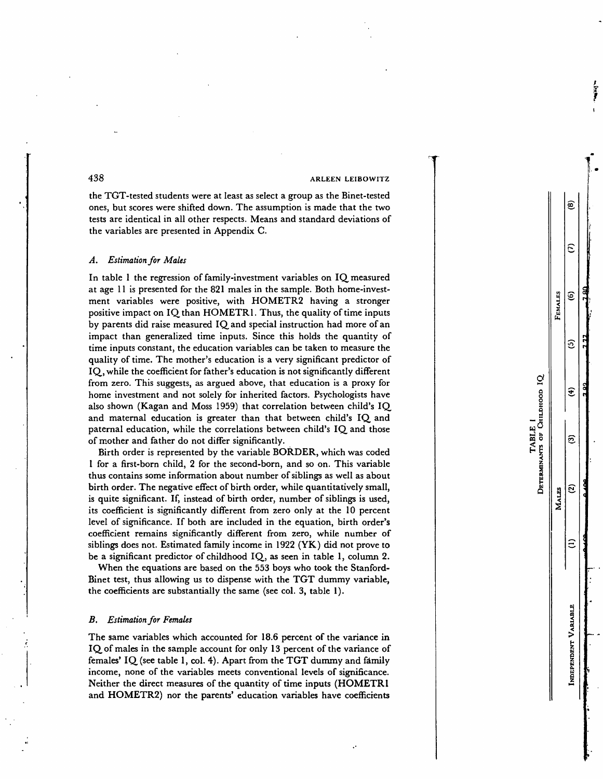$\ddot{\phantom{0}}$ 

the TOT-tested students were at least as select a group as the Binet-tested ones, but scores were shifted down. The assumption is made that the two tests are identical in all other respects. Means and standard deviations of the variables are presented in Appendix C.

### A. Estimation for Males

In table 1 the regression of family-investment variables on IQ measured at age 11 is presented for the 821 males in the sample. Both home-investment variables were positive, with HOMETR2 having a stronger positive impact on IQ than HOMETR1. Thus, the quality of time inputs by parents did raise measured IQ and special instruction had more of an impact than generalized time inputs. Since this holds the quantity of time inputs constant, the education variables can be taken to measure the quality of time. The mother's education is a very significant predictor of IQ, while the coefficient for father's education is not significantly different from zero. This suggests, as argued above, that education is a proxy for home investment and not solely for inherited factors. Psychologists have also shown (Kagan and Moss 1959) that correlation between child's IQ and maternal education is greater than that between child's IQ and paternal education, while the correlations between child's IQ and those of mother and father do not differ significantly.

Birth order is represented by the variable BORDER, which was coded 1 for a first-born child, 2 for the second-born, and so on. This variable thus contains some information about number of siblings as well as about birth order. The negative effect of birth order, while quantitatively small, is quite significant. If, instead of birth order, number of siblings is used, its coefficient is significantly different from zero only at the 10 percent level of significance. If both are included in the equation, birth order's coefficient remains significantly different from zero, while number of siblings does not. Estimated family income in 1922 (YK) did not prove to be a significant predictor of childhood IQ, as seen in table 1, column 2.

When the equations are based on the 553 boys who took the Stanford-Binet test, thus allowing us to dispense with the TGT dummy variable, the coefficients are substantially the same (see col. 3, table 1). be a significant predictor of chilo<br>When the equations are based<br>Binet test, thus allowing us to diverse coefficients are substantially<br> $B.$  Estimation for Females<br>The same variables which accou

The same variables which accounted for 18.6 percent of the variance in IQ of males in the sample account for only 13 percent of the variance of females' IQ (see table 1, col. 4). Apart from the TGT dummy and family <sup>2</sup> income, none of the variables meets conventional levels of significance. Neither the direct measures of the quantity of time inputs (HOMETR1 and HOMETR2) nor the parents' education variables have coefficients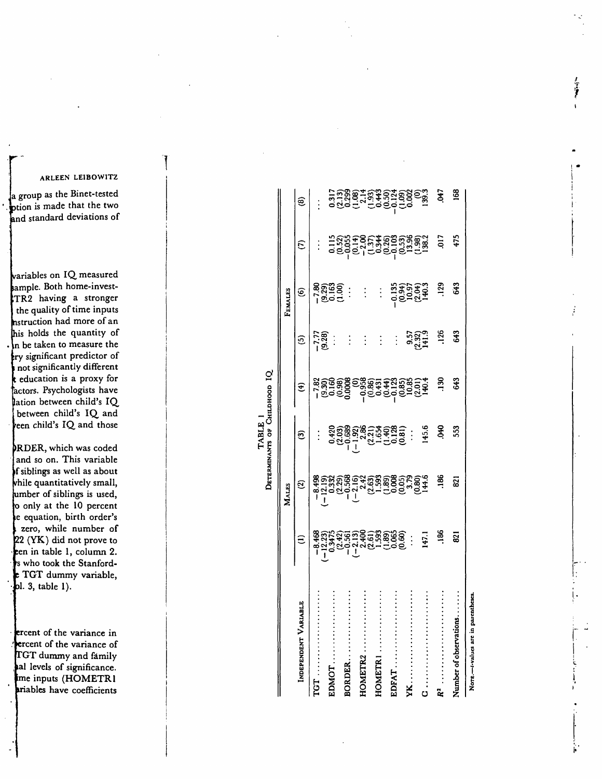$\ddot{\phantom{0}}$ 

|                                                                                                                                                                                                                                                                                             |                                                                                                                                                                                                                                | <b>MALES</b>                                            |                                      |                                |                       | FEMALES                                          |                                                       |                                                                          |
|---------------------------------------------------------------------------------------------------------------------------------------------------------------------------------------------------------------------------------------------------------------------------------------------|--------------------------------------------------------------------------------------------------------------------------------------------------------------------------------------------------------------------------------|---------------------------------------------------------|--------------------------------------|--------------------------------|-----------------------|--------------------------------------------------|-------------------------------------------------------|--------------------------------------------------------------------------|
| INDEPENDENT VARIABLE                                                                                                                                                                                                                                                                        | $\ominus$                                                                                                                                                                                                                      | $\mathfrak{S}$                                          | ම                                    | $\widehat{\mathbf{f}}$         | ම                     | $\widehat{\mathfrak{S}}$                         | $\widehat{c}$                                         | ම                                                                        |
| $\cdot$                                                                                                                                                                                                                                                                                     |                                                                                                                                                                                                                                |                                                         | $\vdots$                             |                                | $-7.77$<br>$(9.28)$   |                                                  | $\vdots$                                              | $\cdot$<br>$\ddot{\cdot}$                                                |
| $\bullet$<br>$\ddot{\cdot}$<br>$\vdots$                                                                                                                                                                                                                                                     |                                                                                                                                                                                                                                |                                                         | 0.420                                | $-7.82$<br>$(9.30)$<br>$0.160$ | $\frac{1}{4}$         | $-7.80$<br>$(9.29)$<br>$(1.63)$<br>$(1.00)$      |                                                       |                                                                          |
|                                                                                                                                                                                                                                                                                             |                                                                                                                                                                                                                                |                                                         |                                      | $(0.98)$<br>$0.0008$           |                       |                                                  |                                                       |                                                                          |
| $\bullet$<br>$\ddot{\cdot}$<br>BORDER                                                                                                                                                                                                                                                       |                                                                                                                                                                                                                                |                                                         | ٮ                                    |                                | $\ddot{\ddot{\cdot}}$ | $\vdots$                                         |                                                       |                                                                          |
| $\vdots$<br>$\vdots$<br>HOMETR2                                                                                                                                                                                                                                                             |                                                                                                                                                                                                                                |                                                         | 03382343634<br>038323454<br>07723454 | )<br>၁ <del>၁၁၁၁</del><br>၂၀၁၁ | ÷                     | $\ddot{\cdot}$                                   |                                                       | $\begin{array}{l} 217 \\ 313 \\ 239 \\ 021 \\ 036 \\ \hline \end{array}$ |
| $\ddot{a}$ $\ddot{b}$ $\ddot{b}$ $\ddot{c}$ $\ddot{d}$ $\ddot{d}$ $\ddot{d}$ $\ddot{d}$ $\ddot{d}$ $\ddot{d}$ $\ddot{d}$ $\ddot{d}$ $\ddot{d}$ $\ddot{d}$ $\ddot{d}$ $\ddot{d}$ $\ddot{d}$ $\ddot{d}$ $\ddot{d}$ $\ddot{d}$ $\ddot{d}$ $\ddot{d}$ $\ddot{d}$ $\ddot{d}$ $\ddot{$<br>HOMETRI |                                                                                                                                                                                                                                | $-8,00000$                                              |                                      |                                | $\frac{1}{2}$         | $\vdots$                                         |                                                       |                                                                          |
| $\begin{array}{c} \n\vdots \\ \vdots \\ \vdots \\ \vdots\n\end{array}$<br>EDFAT                                                                                                                                                                                                             | $-8488$ $-8473$ $-8473$ $-8473$ $-8473$ $-8473$ $-8473$ $-8473$ $-8473$ $-8473$ $-8473$ $-8473$ $-8473$ $-8473$ $-8473$ $-8473$ $-8473$ $-8473$ $-8473$ $-8473$ $-8473$ $-8473$ $-8473$ $-8473$ $-8473$ $-8473$ $-8473$ $-847$ |                                                         | $(1.40)$<br>$0.128$<br>(0.81)        | (0.44)                         | $\ddot{\cdot}$        |                                                  | 116554668668862<br>1065546686688686<br>10656746686886 | <b>estages</b><br><b>estages</b>                                         |
| $\ddot{\cdot}$<br><b>YK</b>                                                                                                                                                                                                                                                                 | $\vdots$                                                                                                                                                                                                                       | $\begin{array}{c} (0.05) \\ 3.78 \\ (0.80) \end{array}$ | $\vdots$                             | 0.850<br>0.850<br>0.814        | $\frac{9.57}{(2.32)}$ | $0.135$<br>$0.94$<br>$0.04$<br>$0.04$<br>$140.3$ |                                                       |                                                                          |
| ٠<br>$\ddot{\ddot{\cdot}}$                                                                                                                                                                                                                                                                  | 147.1                                                                                                                                                                                                                          | 14.6                                                    | 145.6                                |                                | 141.9                 |                                                  |                                                       |                                                                          |
| $\vdots$<br>$\bullet$<br>$\vdots$<br><br>$\mathbb{R}^2$                                                                                                                                                                                                                                     | ,186                                                                                                                                                                                                                           | .186                                                    | <b>GRO.</b>                          | .130                           | .126                  | .129                                             | .017                                                  | <b>GHO.</b>                                                              |
| Number of observations                                                                                                                                                                                                                                                                      | 821                                                                                                                                                                                                                            | 821                                                     | 553                                  | 643                            | 643                   | 643                                              | 475                                                   | 168                                                                      |
| Nore.----values are in parentheses.                                                                                                                                                                                                                                                         |                                                                                                                                                                                                                                |                                                         |                                      |                                |                       |                                                  |                                                       |                                                                          |
|                                                                                                                                                                                                                                                                                             |                                                                                                                                                                                                                                |                                                         |                                      |                                |                       |                                                  |                                                       |                                                                          |
|                                                                                                                                                                                                                                                                                             |                                                                                                                                                                                                                                |                                                         |                                      |                                |                       |                                                  |                                                       |                                                                          |
|                                                                                                                                                                                                                                                                                             |                                                                                                                                                                                                                                |                                                         |                                      |                                |                       |                                                  |                                                       |                                                                          |
|                                                                                                                                                                                                                                                                                             |                                                                                                                                                                                                                                |                                                         |                                      |                                |                       |                                                  |                                                       |                                                                          |
|                                                                                                                                                                                                                                                                                             |                                                                                                                                                                                                                                |                                                         |                                      |                                |                       |                                                  |                                                       |                                                                          |

 $\ddot{\phantom{0}}$ 

 $\ddot{\phantom{0}}$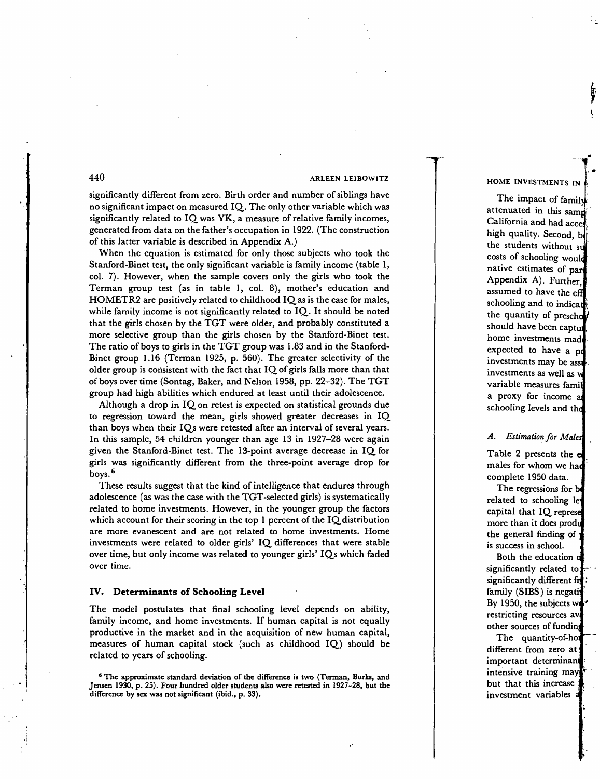#### 440 ARLEEN LEIBOWITZ

 $\ddot{\phantom{0}}$ 

significantly different from zero. Birth order and number of siblings have no significant impact on measured IQ. The only other variable which was significantly related to IQ was YK, a measure of relative family incomes, generated from data on the father's occupation in 1922. (The construction of this latter variable is described in Appendix A.)

When the equation is estimated for only those subjects who took the Stanford-Binet test, the only significant variable is family income (table 1, col. 7). However, when the sample covers only the girls who took the Terman group test (as in table 1, col. 8), mother's education and HOMETR2 are positively related to childhood  $IQ$  as is the case for males, while family income is not significantly related to IQ. It should be noted that the girls chosen by the TGT were older, and probably constituted a more selective group than the girls chosen by the Stanford-Binet test. The ratio of boys to girls in the TGT group was 1.83 and in the Stanford-Binet group 1.16 (Terman 1925, p. 560). The greater selectivity of the older group is consistent with the fact that  $IQ$  of girls falls more than that of boys over time (Sontag, Baker, and Nelson 1958, pp. 22—32). The TGT group had high abilities which endured at least until their adolescence.

Although a drop in IQ on retest is expected on statistical grounds due to regression toward the mean, girls showed greater decreases in IQ than boys when their IQs were retested after an interval of several years. In this sample, 54 children younger than age 13 in 1927—28 were again given the Stanford-Binet test. The 13-point average decrease in IQ for girls was significantly different from the three-point average drop for boys.<sup>6</sup>

These results suggest that the kind of intelligence that endures through adolescence (as was the case with the TGT-selected girls) is systematically related to home investments. However, in the younger group the factors which account for their scoring in the top 1 percent of the IQ distribution are more evanescent and are not related to home investments. Home investments were related to older girls' IQ differences that were stable over time, but only income was related to younger girls' IQs which faded over time.

#### IV. Determinants of Schooling Level

The model postulates that final schooling level depends on ability, family income, and home investments. If human capital is not equally productive in the market and in the acquisition of new human capital, measures of human capital stock (such as childhood IQ) should be related to years of schooling.

<sup>6</sup> The approximate standard deviation of the difference is two (Terman, Burks, and Jensen 1930, P. 25). Four hundred older students also were retested in 1927—28, but the difference by sex was not significant (ibid., p. 33).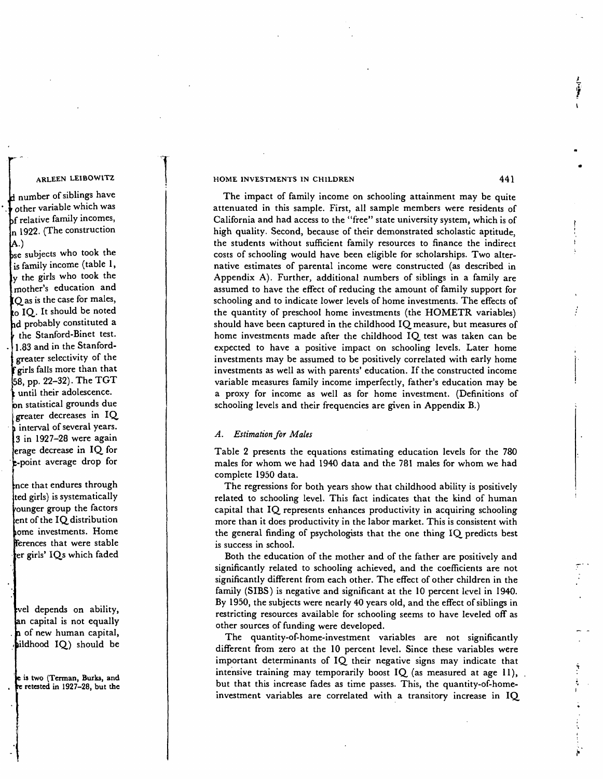The impact of family income on schooling attainment may be quite attenuated in this sample. First, all sample members were residents of California and had access to the "free" state university system, which is of high quality. Second, because of their demonstrated scholastic aptitude, the students without sufficient family resources to finance the indirect costs of schooling would have been eligible for scholarships. Two alternative estimates of parental income were constructed (as described in Appendix A). Further, additional numbers of siblings in a family are assumed to have the effect of reducing the amount of family support for schooling and to indicate lower levels of home investments. The effects of the quantity of preschool home investments (the HOMETR variables) should have been captured in the childhood IQ measure, but measures of home investments made after the childhood IQ test was taken can be expected to have a positive impact on schooling levels. Later home investments may be assumed to be positively correlated with early home investments as well as with parents' education. If the constructed income variable measures family income imperfectly, father's education may be a proxy for income as well as for home investment. (Definitions of schooling levels and their frequencies are given in Appendix B.)

#### A. Estimation for Males

Table 2 presents the equations estimating education levels for the 780 males for whom we had 1940 data and the 781 males for whom we had complete 1950 data.

The regressions for both years show that childhood ability is positively related to schooling level. This fact indicates that the kind of human capital that IQ represents enhances productivity in acquiring schooling more than it does productivity in the labor market. This is consistent with the general finding of psychologists that the one thing IQ predicts best is success in school.

Both the education of the mother and of the father are positively and significantly related to schooling achieved, and the coefficients are not significantly different from each other. The effect of other children in the family (SIBS) is negative and significant at the 10 percent level in 1940. By 1950, the subjects were nearly 40 years old, and the effect of siblings in restricting resources available for schooling seems to have leveled off as other sources of funding were developed. mificantly related to schooling achieved, and the coefficients are not<br>nificantly different from each other. The effect of other children in the<br>mily (SIBS) is negative and significant at the 10 percent level in 1940.<br>1950

different from zero at the 10 percent level. Since these variables were important determinants of IQ their negative signs may indicate that intensive training may temporarily boost IQ (as measured at age 11), but that this increase fades as time passes. This, the quantity-of-homeinvestment variables are correlated with a transitory increase in IQ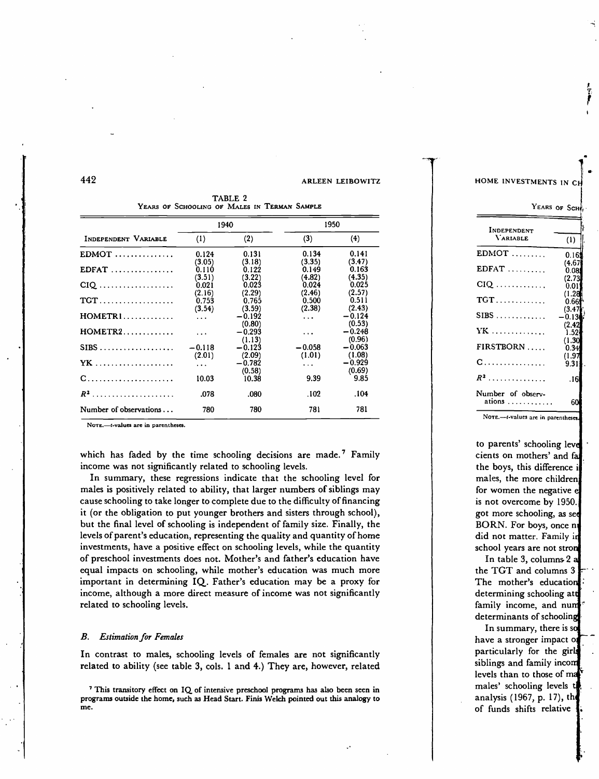|                        |           | 1940     |          | 1950     |
|------------------------|-----------|----------|----------|----------|
| INDEPENDENT VARIABLE   | (1)       | (2)      | (3)      | (4)      |
| $EDMOT$                | 0.124     | 0.131    | 0.134    | 0.141    |
|                        | (3.05)    | (3.18)   | (3.35)   | (3.47)   |
| $EDFAT$                | 0.110     | 0.122    | 0.149    | 0.163    |
|                        | (3.51)    | (3.22)   | (4.82)   | (4.35)   |
| $CIQ$                  | 0.021     | 0.023    | 0.024    | 0.025    |
|                        | (2.16)    | (2.29)   | (2.46)   | (2.57)   |
| TGT                    | 0.753     | 0.765    | 0.500    | 0.511    |
|                        | (3.54)    | (3.59)   | (2.38)   | (2.43)   |
| $HOMETRI$              | $\cdots$  | $-0.192$ | $\cdots$ | $-0.124$ |
|                        |           | (0.80)   |          | (0.53)   |
| HOMETR2                | $\ldots$  | $-0.293$ | $\cdots$ | $-0.248$ |
|                        |           | (1.13)   |          | (0.96)   |
| $SIBS$                 | $-0.118$  | $-0.123$ | $-0.058$ | $-0.063$ |
|                        | (2.01)    | (2.09)   | (1.01)   | (1.08)   |
|                        | $\ddotsc$ | $-0.782$ | $\cdots$ | $-0.929$ |
|                        |           | (0.58)   |          | (0.69)   |
|                        | 10.03     | 10.38    | 9.39     | 9.85     |
| $R^2$                  | .078      | .080     | .102     | .104     |
| Number of observations | 780       | 780      | 781      | 781      |

TABLE 2 YEARS OF SCHOOLING OF MALES IN TERMAN SAMPLE

which has faded by the time schooling decisions are made.<sup>7</sup> Family income was not significantly related to schooling levels.

In summary, these regressions indicate that the schooling level for males is positively related to ability, that larger numbers of siblings may cause schooling to take longer to complete due to the difficulty of financing it (or the obligation to put younger brothers and sisters through school), but the final level of schooling is independent of family size. Finally, the levels of parent's education, representing the quality and quantity of home investments, have a positive effect on schooling levels, while the quantity of preschool investments does not. Mother's and father's education have equal impacts on schooling, while mother's education was much more important in determining IQ. Father's education may be a proxy for income, although a more direct measure of income was not significantly related to schooling levels.

#### B. Estimation for Females

In contrast to males, schooling levels of females are not significantly related to ability (see table 3, cols. I and 4.) They are, however, related

<sup>&</sup>lt;sup>7</sup> This transitory effect on IQ of intensive preschool programs has also been seen in programs outside the home, such as Head Start. Finis Welch pointed out this analogy to me.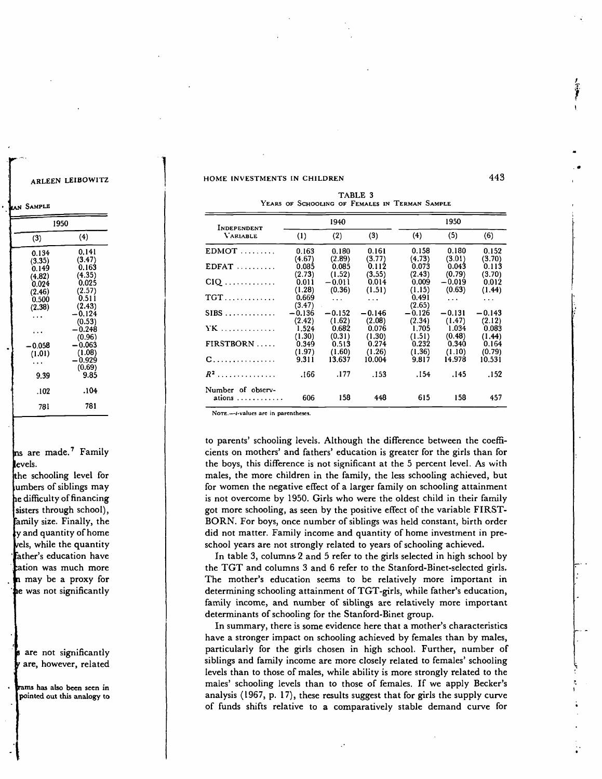| YEARS OF SCHOOLING OF FEMALES IN TERMAN SAMPLE<br>(1)   | TABLE 3<br>1940                                                                                             |                             |                          |                                    |                                                                                                                                                                                                                                                                                                                                                                                                                                                                                                                                                                                                                                                                                                                                                                                                                                                                                                                                                                                                                                                                                                                                                                                                    |
|---------------------------------------------------------|-------------------------------------------------------------------------------------------------------------|-----------------------------|--------------------------|------------------------------------|----------------------------------------------------------------------------------------------------------------------------------------------------------------------------------------------------------------------------------------------------------------------------------------------------------------------------------------------------------------------------------------------------------------------------------------------------------------------------------------------------------------------------------------------------------------------------------------------------------------------------------------------------------------------------------------------------------------------------------------------------------------------------------------------------------------------------------------------------------------------------------------------------------------------------------------------------------------------------------------------------------------------------------------------------------------------------------------------------------------------------------------------------------------------------------------------------|
|                                                         |                                                                                                             |                             |                          |                                    |                                                                                                                                                                                                                                                                                                                                                                                                                                                                                                                                                                                                                                                                                                                                                                                                                                                                                                                                                                                                                                                                                                                                                                                                    |
|                                                         |                                                                                                             |                             |                          | 1950                               |                                                                                                                                                                                                                                                                                                                                                                                                                                                                                                                                                                                                                                                                                                                                                                                                                                                                                                                                                                                                                                                                                                                                                                                                    |
|                                                         | (2)                                                                                                         | (3)                         | (4)                      | (5)                                | (6)                                                                                                                                                                                                                                                                                                                                                                                                                                                                                                                                                                                                                                                                                                                                                                                                                                                                                                                                                                                                                                                                                                                                                                                                |
| 0.163                                                   | 0.180                                                                                                       | 0.161                       | 0.158                    | 0.180                              | 0.152                                                                                                                                                                                                                                                                                                                                                                                                                                                                                                                                                                                                                                                                                                                                                                                                                                                                                                                                                                                                                                                                                                                                                                                              |
| (4.67)<br>0.085                                         | (2.89)<br>0.085                                                                                             | (3.77)<br>0.112             | (4.73)<br>0.073          | (3.01)<br>0.043                    | (3.70)<br>0.113                                                                                                                                                                                                                                                                                                                                                                                                                                                                                                                                                                                                                                                                                                                                                                                                                                                                                                                                                                                                                                                                                                                                                                                    |
| (2.73)                                                  | (1.52)                                                                                                      | (3.55)                      | (2.43)                   | (0.79)                             | (3.70)                                                                                                                                                                                                                                                                                                                                                                                                                                                                                                                                                                                                                                                                                                                                                                                                                                                                                                                                                                                                                                                                                                                                                                                             |
| (1.28)                                                  | (0.36)                                                                                                      | (1.51)                      | (1.15)                   | (0.63)                             | 0.012<br>(1.44)                                                                                                                                                                                                                                                                                                                                                                                                                                                                                                                                                                                                                                                                                                                                                                                                                                                                                                                                                                                                                                                                                                                                                                                    |
| 0.669                                                   | $\sim$ $\sim$ $\sim$                                                                                        | $\ldots$                    | 0.491                    | $\cdots$                           | $\ldots$                                                                                                                                                                                                                                                                                                                                                                                                                                                                                                                                                                                                                                                                                                                                                                                                                                                                                                                                                                                                                                                                                                                                                                                           |
| $-0.136$                                                | $-0.152$                                                                                                    | - 0.146                     | -0.126                   | $-0.131$                           | - 0.143                                                                                                                                                                                                                                                                                                                                                                                                                                                                                                                                                                                                                                                                                                                                                                                                                                                                                                                                                                                                                                                                                                                                                                                            |
| (2.42)                                                  | (1.62)                                                                                                      | (2.08)                      | (2.34)                   | (1.47)                             | (2.12)<br>0.083                                                                                                                                                                                                                                                                                                                                                                                                                                                                                                                                                                                                                                                                                                                                                                                                                                                                                                                                                                                                                                                                                                                                                                                    |
| (1.30)                                                  | (0.31)                                                                                                      | (1.30)                      | (1.51)                   | (0.48)                             | (1.44)                                                                                                                                                                                                                                                                                                                                                                                                                                                                                                                                                                                                                                                                                                                                                                                                                                                                                                                                                                                                                                                                                                                                                                                             |
| 0.349                                                   | 0.513                                                                                                       | 0.274                       | 0.232                    | 0.340                              | 0.164                                                                                                                                                                                                                                                                                                                                                                                                                                                                                                                                                                                                                                                                                                                                                                                                                                                                                                                                                                                                                                                                                                                                                                                              |
| 9.311                                                   | 13.637                                                                                                      | 10.004                      | 9.817                    | 14.978                             | (0.79)<br>10.531                                                                                                                                                                                                                                                                                                                                                                                                                                                                                                                                                                                                                                                                                                                                                                                                                                                                                                                                                                                                                                                                                                                                                                                   |
| .166                                                    | .177                                                                                                        | .153                        | .154                     | .145                               | .152                                                                                                                                                                                                                                                                                                                                                                                                                                                                                                                                                                                                                                                                                                                                                                                                                                                                                                                                                                                                                                                                                                                                                                                               |
| 606                                                     | 158                                                                                                         | 448                         | 615                      | 158                                | 457                                                                                                                                                                                                                                                                                                                                                                                                                                                                                                                                                                                                                                                                                                                                                                                                                                                                                                                                                                                                                                                                                                                                                                                                |
| determinants of schooling for the Stanford-Binet group. |                                                                                                             |                             |                          |                                    |                                                                                                                                                                                                                                                                                                                                                                                                                                                                                                                                                                                                                                                                                                                                                                                                                                                                                                                                                                                                                                                                                                                                                                                                    |
|                                                         | 0.011<br>(3.47)<br>1.524<br>(1.97)<br>ations $\ldots \ldots \ldots$<br>NOTE.-----values are in parentheses. | $-0.011$<br>0.682<br>(1.60) | 0.014<br>0.076<br>(1.26) | 0.009<br>(2.65)<br>1.705<br>(1.36) | $-0.019$<br>1.034<br>(1.10)<br>to parents' schooling levels. Although the difference between the coeffi-<br>cients on mothers' and fathers' education is greater for the girls than for<br>the boys, this difference is not significant at the 5 percent level. As with<br>males, the more children in the family, the less schooling achieved, but<br>for women the negative effect of a larger family on schooling attainment<br>is not overcome by 1950. Girls who were the oldest child in their family<br>got more schooling, as seen by the positive effect of the variable FIRST-<br>BORN. For boys, once number of siblings was held constant, birth order<br>did not matter. Family income and quantity of home investment in pre-<br>school years are not strongly related to years of schooling achieved.<br>In table 3, columns 2 and 5 refer to the girls selected in high school by<br>the TGT and columns 3 and 6 refer to the Stanford-Binet-selected girls.<br>The mother's education seems to be relatively more important in<br>determining schooling attainment of TGT-girls, while father's education,<br>family income, and number of siblings are relatively more important |

TABLE 3 YEARS ov SCHOOLING OF FEMALES IN ARLEEN LEIBOWITZ <sup>443</sup> YEARS OF SCHOOLING OF FEMALES IN TERMAN SAMPLE

In summary, there is some evidence here that a mother's characteristics have a stronger impact on schooling achieved by females than by males, particularly for the girls chosen in high school. Further, number of siblings and family income are more closely related to females' schooling levels than to those of males, while ability is more strongly related to the males' schooling levels than to those of females. If we apply Becker's analysis (1967, p. 17), these results suggest that for girls the supply curve of funds shifts relative to a comparatively stable demand curve for

 $\cdot$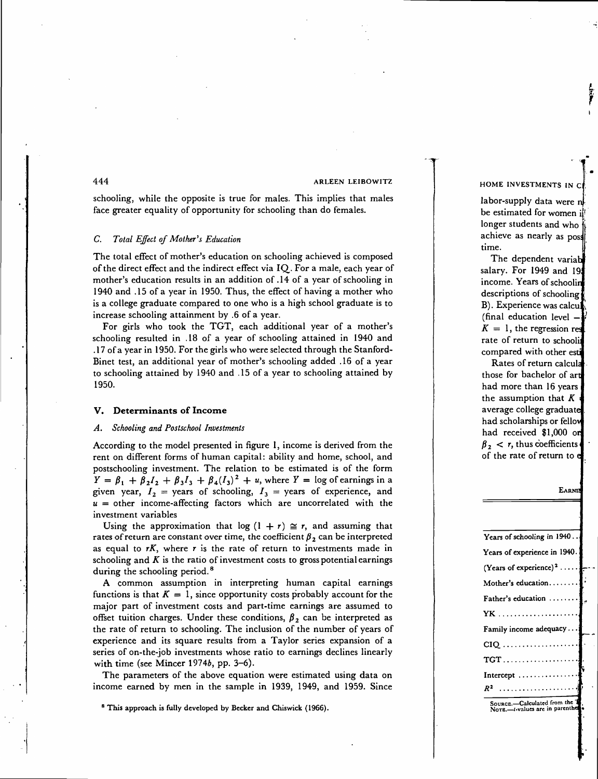schooling, while the opposite is true for males. This implies that males face greater equality of opportunity for schooling than do females.

### C. Total Effect of Mother's Education

The total effect of mother's education on schooling achieved is composed of the direct effect and the indirect effect via IQ. For a male, each year of mother's education results in an addition of .14 of a year of schooling in 1940 and .15 of a year in 1950. Thus, the effect of having a mother who is a college graduate compared to one who is a high school graduate is to increase schooling attainment by .6 of a year.

For girls who took the TGT, each additional year of a mother's schooling resulted in .18 of a year of schooling attained in 1940 and .17 of a year in 1950. For the girls who were selected through the Stanford-Binet test, an additional year of mother's schooling added .16 of a year to schooling attained by 1940 and .15 of a year to schooling attained by 1950.

#### V. Determinants of Income

#### A. Schooling and Postschool Investments

According to the model presented in figure 1, income is derived from the rent on different forms of human capital: ability and home, school, and postschooling investment. The relation to be estimated is of the form  $Y = \beta_1 + \beta_2 I_2 + \beta_3 I_3 + \beta_4 (I_3)^2 + u$ , where  $Y = \log$  of earnings in a given year,  $I_2$  = years of schooling,  $I_3$  = years of experience, and  $u =$  other income-affecting factors which are uncorrelated with the investment variables

Using the approximation that  $log(1 + r) \cong r$ , and assuming that rates of return are constant over time, the coefficient  $\beta_2$  can be interpreted as equal to  $rK$ , where r is the rate of return to investments made in schooling and  $K$  is the ratio of investment costs to gross potential earnings during the schooling period.<sup>8</sup>

A common assumption in interpreting human capital earnings functions is that  $K = 1$ , since opportunity costs probably account for the major part of investment costs and part-time earnings are assumed to offset tuition charges. Under these conditions,  $\beta_2$  can be interpreted as the rate of return to schooling. The inclusion of the number of years of experience and its square results from a Taylor series expansion of a series of on-the-job investments whose ratio to earnings declines linearly with time (see Mincer 1974b, pp. 3—6).

The parameters of the above equation were estimated using data on income earned by men in the sample in 1939, 1949, and 1959. Since

<sup>&</sup>lt;sup>8</sup> This approach is fully developed by Becker and Chiswick (1966).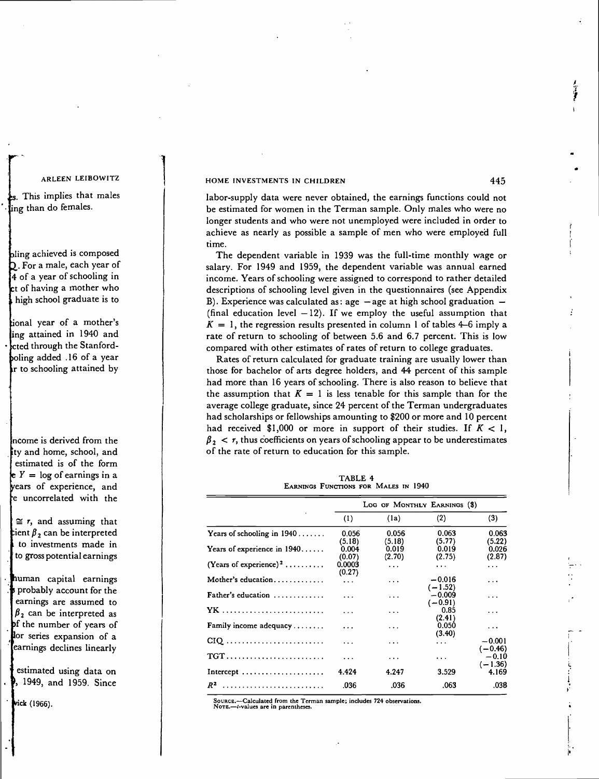labor-supply data were never obtained, the earnings functions could not be estimated for women in the Terman sample. Only males who were no longer students and who were not unemployed were included in order to achieve as nearly as possible a sample of men who were employed full time.

The dependent variable in 1939 was the full-time monthly wage or salary. For 1949 and 1959, the dependent variable was annual earned income. Years of schooling were assigned to correspond to rather detailed descriptions of schooling level given in the questionnaires (see Appendix B). Experience was calculated as: age  $-\text{age}$  at high school graduation  $-\text{age}$ (final education level  $-12$ ). If we employ the useful assumption that  $K = 1$ , the regression results presented in column 1 of tables 4–6 imply a rate of return to schooling of between 5.6 and 6.7 percent. This is low compared with other estimates of rates of return to college graduates.

Rates of return calculated for graduate training are usually lower than those for bachelor of arts degree holders, and 44 percent of this sample had more than 16 years of schooling. There is also reason to believe that the assumption that  $K = 1$  is less tenable for this sample than for the average college graduate, since 24 percent of the Terman undergraduates had scholarships or fellowships amounting to \$200 or more and 10 percent had received \$1,000 or more in support of their studies. If  $K < 1$ ,  $\beta_2$  < r, thus coefficients on years of schooling appear to be underestimates of the rate of return to education for this sample.

|                                                             |           |          | LOG OF MONTHLY EARNINGS (\$) |           |
|-------------------------------------------------------------|-----------|----------|------------------------------|-----------|
|                                                             | (1)       | (1a)     | (2)                          | (3)       |
| Years of schooling in $1940$                                | 0.056     | 0.056    | 0.063                        | 0.063     |
|                                                             | (5.18)    | (5.18)   | (5.77)                       | (5.22)    |
| Years of experience in 1940                                 | 0.004     | 0.019    | 0.019                        | 0.026     |
|                                                             | (0.07)    | (2.70)   | (2.75)                       | (2.87)    |
| (Years of experience) <sup>2</sup>                          | 0.0003    | .        | $\cdots$                     | .         |
|                                                             | (0.27)    |          |                              |           |
| Mother's education                                          | .         | .        | $-0.016$                     | $\cdots$  |
|                                                             |           |          | $(-1.52)$                    |           |
| Father's education                                          | $\cdots$  | $\cdots$ | $-0.009$                     | $\cdots$  |
|                                                             |           |          | $(-0.91)$                    |           |
|                                                             | $\ddotsc$ | .        | 0.85                         | $\cdots$  |
|                                                             |           |          | (2.41)                       |           |
| Family income adequacy                                      | .         | .        | 0.050                        |           |
|                                                             |           |          | (3.40)                       | $\cdots$  |
|                                                             | $\ddots$  | .        | $\cdots$                     | $-0.001$  |
|                                                             |           |          |                              | ( — 0.46) |
| $TGT \dots \dots \dots \dots \dots \dots \dots \dots \dots$ |           |          |                              | $-0.10$   |
|                                                             | $\cdots$  | $\cdots$ | $\cdots$                     | $(-1.36)$ |
|                                                             | 4.424     | 4.247    | 3.529                        |           |
| Intercept                                                   |           |          |                              | 4.169     |
|                                                             |           |          |                              |           |
| $R^2$                                                       | .036      | .036     | .063                         | .038      |

TABLE 4 EARNINGS FUNCTIONS FOR MALES IN 1940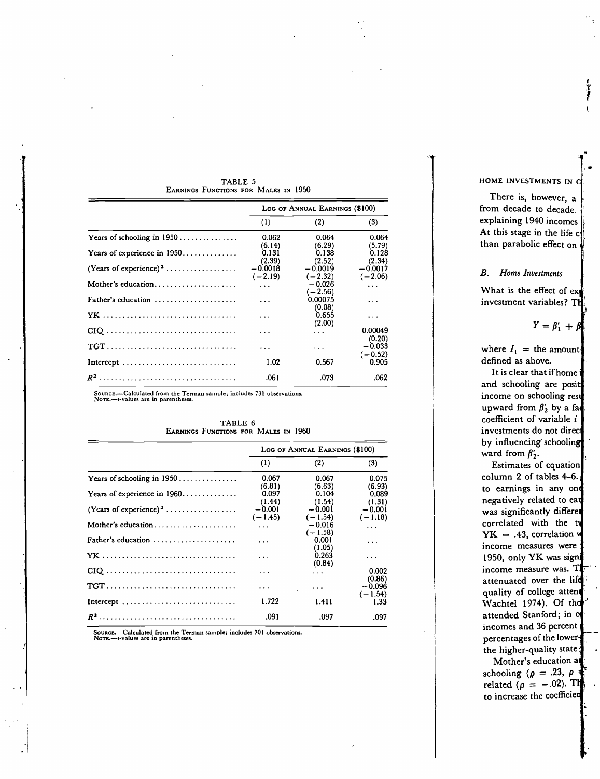|                                                                               |                       | LOG OF ANNUAL EARNINGS (\$100) |                    |
|-------------------------------------------------------------------------------|-----------------------|--------------------------------|--------------------|
|                                                                               | (1)                   | (2)                            | (3)                |
| Years of schooling in $1950$                                                  | 0.062<br>(6.14)       | 0.064<br>(6.29)                | 0.064<br>(5.79)    |
| Years of experience in 1950                                                   | 0.131<br>(2.39)       | 0.138<br>(2.52)                | 0.128<br>(2.34)    |
| (Years of experience) <sup>2</sup>                                            | $-0.0018$             | $-0.0019$                      | $-0.0017$          |
| Mother's education                                                            | $(-2.19)$<br>$\cdots$ | $(-2.32)$<br>$-0.026$          | $(-2.06)$<br>.     |
| Father's education $\ldots \ldots \ldots \ldots \ldots$                       | $\cdots$              | $(-2.56)$<br>0.00075           | $\cdots$           |
|                                                                               |                       | (0.08)<br>0.655                | .                  |
|                                                                               | <b>Contractor</b>     | (2.00)<br>$\cdots$             | 0.00049<br>(0.20)  |
| $TGT \dots \dots \dots \dots \dots \dots \dots \dots \dots \dots \dots \dots$ | $\cdot$               | $\cdots$                       | $-0.033$           |
|                                                                               | 1.02                  | 0.567                          | $(-0.52)$<br>0.905 |
|                                                                               | .061                  | .073                           | .062               |

TABLE 5 EARNINGS FUNCTIONS FOR MALES IN 1950

 $\bar{z}$ 

Sounce.—Calculated from the Terman sample; includes 731 observations.<br>Note.—I-values are in parentheses.

|                                                                               |                             | LOG OF ANNUAL EARNINGS (\$100) |                       |
|-------------------------------------------------------------------------------|-----------------------------|--------------------------------|-----------------------|
|                                                                               | $\left(1\right)$            | (2)                            | (3)                   |
| Years of schooling in $1950$                                                  | 0.067<br>(6.81)             | 0.067<br>(6.63)                | 0.075<br>(6.93)       |
| Years of experience in $1960$                                                 | 0.097<br>(1.44)             | 0.104<br>(1.54)                | 0.089<br>(1.31)       |
| (Years of experience) <sup>2</sup>                                            | $-0.001$<br>$(-1.45)$       | $-0.001$<br>$(-1.54)$          | $-0.001$<br>$(-1.18)$ |
|                                                                               | $\sim$ $\sim$ $\sim$ $\sim$ | $-0.016$<br>$(-1.58)$          | $\cdots$              |
| Father's education                                                            | $\cdots$                    | 0.001<br>(1.05)                | $\cdots$              |
|                                                                               | $\cdots$                    | 0.263<br>(0.84)                | $\cdots$              |
|                                                                               | $\cdots$                    | .                              | 0.002<br>(0.86)       |
| $TGT \dots \dots \dots \dots \dots \dots \dots \dots \dots \dots \dots \dots$ | $\cdots$                    | $\cdots$                       | $-0.096$<br>$(-1.54)$ |
| Intercept                                                                     | 1.722                       | 1.411                          | 1.33                  |
|                                                                               | .091                        | .097                           | .097                  |

 $\mathcal{P}$ 

TABLE 6 EARNINGS FUNCTIONS FOR MALES IN 1960

Source.—Calculated from the Terman sample; includes 701 observations.<br>Nore.—t-values are in parentheses.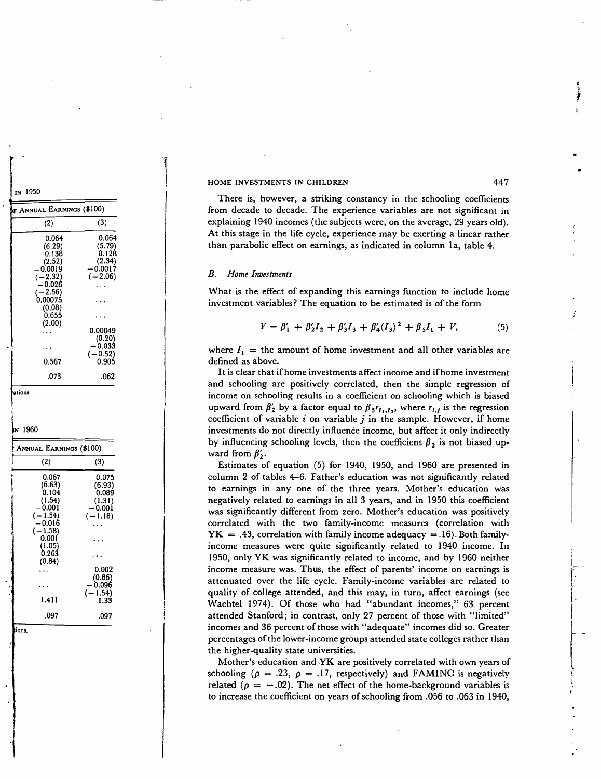There is, however, a striking constancy in the schooling coefficients from decade to decade. The experience variables are not significant in explaining 1940 incomes (the subjects were, on the average, 29 years old). At this stage in the life cycle, experience may be exerting a linear rather than parabolic effect on earnings, as indicated in column 1a, table 4.

#### B. Home Investments

What is the effect of expanding this earnings function to include home investment variables? The equation to be estimated is of the form

$$
Y = \beta_1' + \beta_2' I_2 + \beta_3' I_3 + \beta_4' (I_3)^2 + \beta_5 I_1 + V, \tag{5}
$$

where  $I_1$  = the amount of home investment and all other variables are defined as above.

It is clear that if home investments affect income and if home investment and schooling are positively correlated, then the simple regression of income on schooling results in a coefficient on schooling which is biased upward from  $\beta'_2$  by a factor equal to  $\beta_{5}r_{1,1}$ , where  $r_{i,j}$  is the regression coefficient of variable  $i$  on variable  $j$  in the sample. However, if home investments do not directly influence income, but affect it only indirectly by influencing schooling levels, then the coefficient  $\beta_2$  is not biased upward from  $\beta'_2$ .

Estimates of equation (5) for 1940, 1950, and 1960 are presented in column 2 of tables 4—6. Father's education was not significantly related to earnings in any one of the three years. Mother's education was negatively related to earnings in all 3 years, and in 1950 this coefficient was significantly different from zero. Mother's education was positively correlated with the two family-income measures (correlation with  $YK = .43$ , correlation with family income adequacy = .16). Both familyincome measures were quite significantly related to 1940 income. In 1950, only YK was significantly related to income, and by 1960 neither income measure was. Thus, the effect of parents' income on earnings is attenuated over the life cycle. Family-income variables are related to quality of college attended, and this may, in turn, affect earnings (see Wachtel 1974). Of those who had "abundant incomes," 63 percent attended Stanford; in contrast, only 27 percent of those with "limited" incomes and 36 percent of those with "adequate" incomes did so. Greater percentages of the lower-income groups attended state colleges rather than the higher-quality state universities.

Mother's education and YK are positively correlated with own years of schooling ( $\rho = .23$ ,  $\rho = .17$ , respectively) and FAMINC is negatively related ( $\rho = -0.02$ ). The net effect of the home-background variables is to increase the coefficient on years of schooling from .056 to .063 in 1940,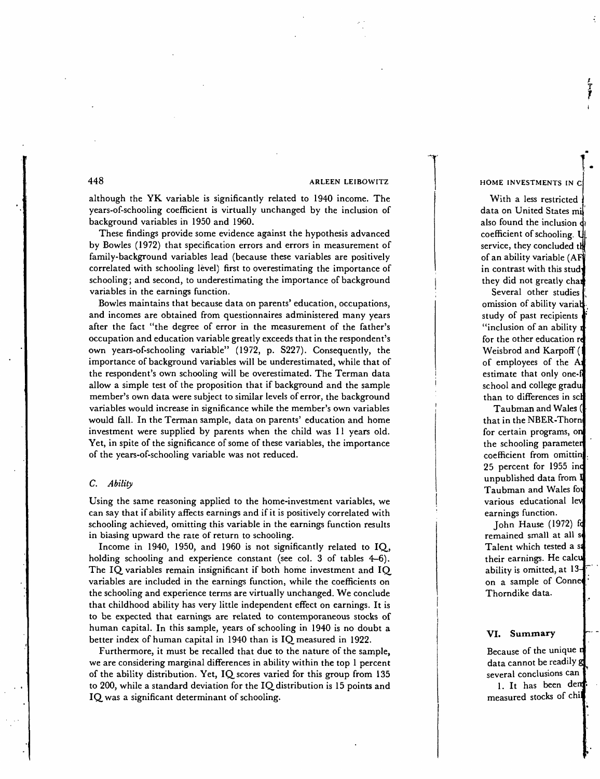448 ARLEEN LEIBOWITZ

although the YK variable is significantly related to 1940 income. The years-of-schooling coefficient is virtually unchanged by the inclusion of background variables in 1950 and 1960.

These findings provide some evidence against the hypothesis advanced by Bowles (1972) that specification errors and errors in measurement of family-background variables lead (because these variables are positively correlated with schooling level) first to overestimating the importance of schooling; and second, to underestimating the importance of background variables in the earnings function.

Bowles maintains that because data on parents' education, occupations, and incomes are obtained from questionnaires administered many years after the fact "the degree of error in the measurement of the father's occupation and education variable greatly exceeds that in the respondent's own years-of-schooling variable" (1972, p. S227). Consequently, the importance of background variables will be underestimated, while that of the respondent's own schooling will be overestimated. The Terman data allow a simple test of the proposition that if background and the sample member's own data were subject to similar levels of error, the background variables would increase in significance while the member's own variables would fall. In the Terman sample, data on parents' education and home investment were supplied by parents when the child was 11 years old. Yet, in spite of the significance of some of these variables, the importance of the years-of-schooling variable was not reduced.

#### C. Ability

Using the same reasoning applied to the home-investment variables, we can say that if ability affects earnings and if it is positively correlated with schooling achieved, omitting this variable in the earnings function results in biasing upward the rate of return to schooling.

Income in 1940, 1950, and 1960 is not significantly related to IQ, holding schooling and experience constant (see col. 3 of tables 4—6). The IQ variables remain insignificant if both home investment and IQ variables are included in the earnings function, while the coefficients on the schooling and experience terms are virtually unchanged. We conclude that childhood ability has very little independent effect on earnings. It is to be expected that earnings are related to contemporaneous stocks of human capital. In this sample, years of schooling in 1940 is no doubt a better index of human capital in 1940 than is IQ measured in 1922.

Furthermore, it must be recalled that due to the nature of the sample, we are considering marginal differences in ability within the top 1 percent of the ability distribution. Yet, IQ scores varied for this group from 135 to 200, while a standard deviation for the IQ distribution is 15 points and IQ was a significant determinant of schooling.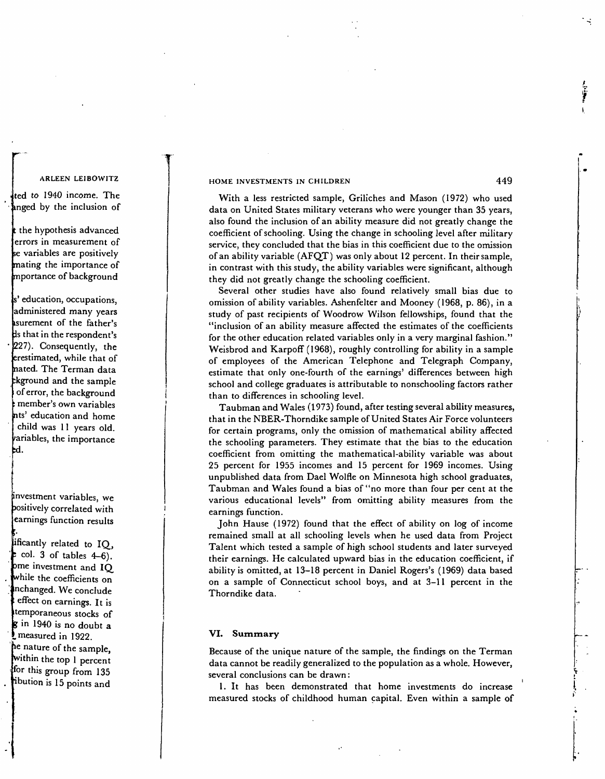With a less restricted sample, Griliches and Mason (1972) who used data on United States military veterans who were younger than 35 years, also found the inclusion of an ability measure did not greatly change the coefficient of schooling. Using the change in schooling level after military service, they concluded that the bias in this coefficient due to the omission of an ability variable (AFQT) was only about 12 percent. In theirsample, in contrast with this study, the ability variables were significant, although they did not greatly change the schooling coefficient.

Several other studies have also found relatively small bias due to omission of ability variables. Ashenfelter and Mooney (1968, p. 86), in a study of past recipients of Woodrow Wilson fellowships, found that the "inclusion of an ability measure affected the estimates of the coefficients for the other education related variables only in a very marginal fashion." Weisbrod and Karpoff (1968), roughly controlling for ability in a sample of employees of the American Telephone and Telegraph Company, estimate that only one-fourth of the earnings' differences between high school and college graduates is attributable to nonschooling factors rather than to differences in schooling level.

Taubman and Wales (1973) found, after testing several ability measures, that in the NBER-Thorndike sample of United States Air Force volunteers for certain programs, only the omission of mathematical ability affected the schooling parameters. They estimate that the bias to the education coefficient from omitting the mathematical-ability variable was about 25 percent for 1955 incomes and 15 percent for 1969 incomes. Using unpublished data from Dael Wolfie on Minnesota high school graduates, Taubman and Wales found a bias of "no more than four per cent at the various educational levels" from omitting ability measures from the earnings function. measure is continuous in the children in the measure of the measure of the above in United States military vectors who were younger than 35 years, also found the inclusion of an ability measure of our capital cycles alse c

John Hause (1972) found that the effect of ability on log of income remained small at all schooling levels when he used data from Project Talent which tested a sample of high school students and later surveyed their earnings. He calculated upward bias in the education coefficient, if ability is omitted, at 13—18 percent in Daniel Rogers's (1969) data based on a sample of Connecticut school boys, and at 3—11 percent in the Thorndike data.

#### VI. Summary

Because of the unique nature of the sample, the findings on the Terman data cannot be readily generalized to the population as a whole. However, several conclusions can be drawn:

1. It has been demonstrated that home investments do increase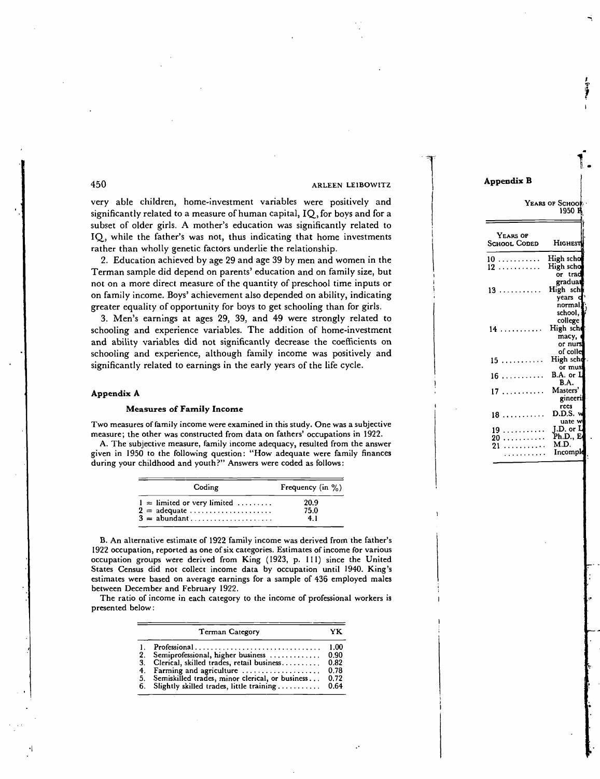very able children, home-investment variables were positively and significantly related to a measure of human capital, IQ, for boys and for a subset of older girls. A mother's education was significantly related to IQ, while the father's was not, thus indicating that home investments rather than wholly genetic factors underlie the relationship.

2. Education achieved by age 29 and age 39 by men and women in the Terman sample did depend on parents' education and on family size, but not on a more direct measure of the quantity of preschool time inputs or on family income. Boys' achievement also depended on ability, indicating greater equality of opportunity for boys to get schooling than for girls.

3. Men's earnings at ages 29, 39, and 49 were strongly related to schooling and experience variables. The addition of home-investment and ability variables did not significantly decrease the coefficients on schooling and experience, although family income was positively and significantly related to earnings in the early years of the life cycle.

#### Appendix A

#### Measures of Family Income

Two measures of family income were examined in this study. One was a subjective measure; the other was constructed from data on fathers' occupations in 1922.

A. The subjective measure, family income adequacy, resulted from the answer given in 1950 to the following question: "How adequate were family finances during your childhood and youth?" Answers were coded as follows:

| Coding                                                    | Frequency (in $\%$ ) |
|-----------------------------------------------------------|----------------------|
| $1 =$ limited or very limited                             | 20.9                 |
| $2 = \text{adequate} \dots \dots \dots \dots \dots \dots$ | 75.0                 |
| $3 =$ abundant                                            | 4. I                 |

B. An alternative estimate of 1922 family income was derived from the father's 1922 occupation, reported as one of six categories. Estimates of income for various occupation groups were derived from King (1923, p. 111) since the United States Census did not collect income data by occupation until 1940. King's estimates were based on average earnings for a sample of 436 employed males between December and February 1922.

The ratio of income in each category to the income of professional workers is presented below:

|    | Terman Category                                      | YК   |
|----|------------------------------------------------------|------|
|    |                                                      | 1.00 |
|    | 2. Semiprofessional, higher business  0.90           |      |
|    | 3. Clerical, skilled trades, retail business 0.82    |      |
|    |                                                      |      |
| 5. | Semiskilled trades, minor clerical, or business 0.72 |      |
| 6. | Slightly skilled trades, little training  0.64       |      |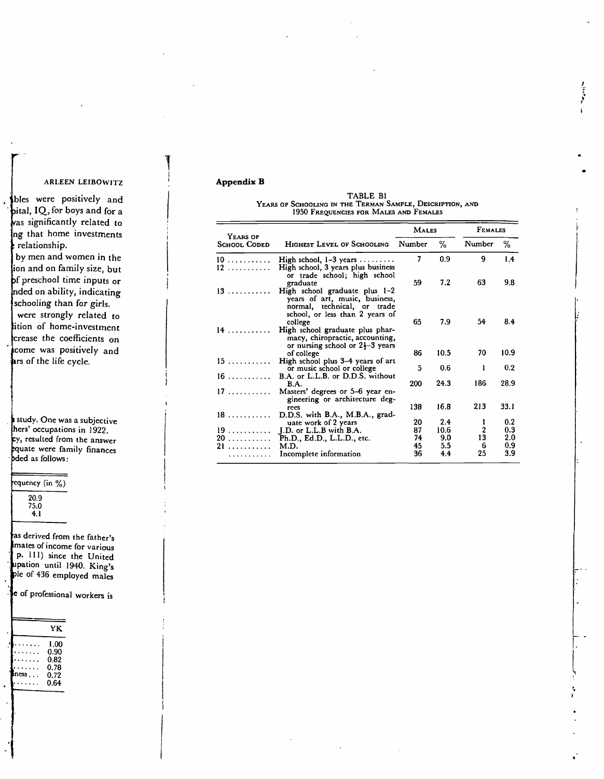## Appendix B

| YEARS OF     |                                                                                                                  | <b>MALES</b> |            | <b>FEMALES</b>   |            |
|--------------|------------------------------------------------------------------------------------------------------------------|--------------|------------|------------------|------------|
| SCHOOL CODED | HIGHEST LEVEL OF SCHOOLING                                                                                       | Number       | ℅          | Number           | %          |
| 10<br>12     | High school, $1-3$ years $\dots\dots\dots$<br>High school, 3 years plus business<br>or trade school; high school | 7            | 0.9        | 9                | 1.4        |
| 13           | graduate<br>High school graduate plus 1-2                                                                        | 59           | 7.2        | 63               | 9.8        |
|              | years of art, music, business,<br>normal, technical, or trade<br>school, or less than 2 years of<br>college      | 65           | 7.9        | 54               | 8.4        |
| 14.          | High school graduate plus phar-<br>macy, chiropractic, accounting,<br>or nursing school or $2\frac{1}{2}$ years  |              |            |                  |            |
| 15           | of college<br>High school plus 3-4 years of art                                                                  | 86           | 10.5       | 70               | 10.9       |
| 16           | or music school or college<br>B.A. or L.L.B. or D.D.S. without                                                   | 5            | 0.6        | 1                | 0.2        |
| 17           | <b>B.A.</b>                                                                                                      | 200          | 24.3       | 186              | 28.9       |
|              | Masters' degrees or 5-6 year en-<br>gineering or architecture deg-<br>rees                                       | 138          | 16.8       | 213              | 33.1       |
| 18           | D.D.S. with B.A., M.B.A., grad-<br>uate work of 2 years                                                          | 20           | 2.4        | 1                | 0.2        |
| 19           | J.D. or L.L.B with B.A.                                                                                          | 87           | 10.6       | $\boldsymbol{2}$ | 0.3        |
| 20           | Ph.D., Ed.D., L.L.D., etc.                                                                                       | 74           | 9.0        | 13               | 2.0        |
| 21<br>.      | M.D.<br>Incomplete information                                                                                   | 45<br>36     | 5.5<br>4.4 | 6<br>25          | 0.9<br>3.9 |

 $\mathcal{L}^{\pm}$ 

 $\mathcal{A}^{\mathcal{A}}$  and

 $\sim$ 

### TABLE Bi YEARS OF SCHOOLING IN THE TERMAN SAMPLE, DESCRIPTION, AND 1950 FREQUENCIES FOR MALES AND FEMALES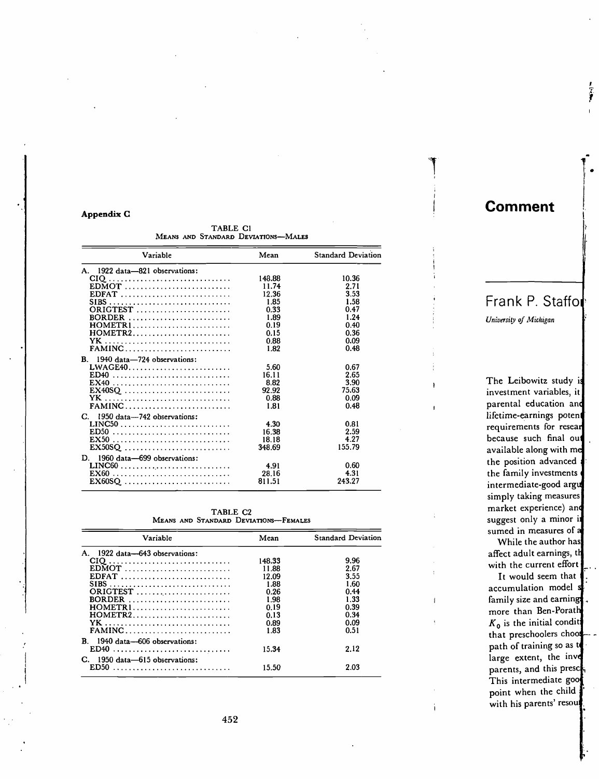### Appendix C

| Variable                                                         | Mean   | <b>Standard Deviation</b> |
|------------------------------------------------------------------|--------|---------------------------|
| 1922 data-821 observations:<br>А.                                |        |                           |
|                                                                  | 148.88 | 10.36                     |
| $EDMOT$                                                          | 11.74  | 2.71                      |
| $EDFAT$                                                          | 12.36  | 3.53                      |
|                                                                  | -1.85  | 1.58                      |
|                                                                  | 0.33   | 0.47                      |
|                                                                  | 1.89   | 1.24                      |
| $HOMETR1$                                                        | 0.19   | 0.40                      |
| $HOMETR2, \ldots, \ldots, \ldots, \ldots, \ldots, \ldots$        | 0.15   | 0.36                      |
| <b>YK</b>                                                        | 0.88   | 0.09                      |
| $FAMINC$                                                         | 1.82   | 0.48                      |
|                                                                  |        |                           |
| B. 1940 data-724 observations:                                   |        |                           |
| $LWAGE40$                                                        | 5.60   | 0.67                      |
| $ED40$                                                           | 16.11  | 2.65                      |
| EX40                                                             | 8.82   | 3.90                      |
| $EX40SQ$                                                         | 92.92  | 75.63                     |
| <b>YK</b>                                                        | 0.88   | 0.09                      |
| $FAMINC \ldots \ldots \ldots \ldots \ldots \ldots \ldots \ldots$ | 1.81   | 0.48                      |
| C. 1950 data-742 observations:                                   |        |                           |
| $LINC50$                                                         | 4.30   | 0.81                      |
|                                                                  | 16.38  | 2.59                      |
|                                                                  | 18.18  | 4.27                      |
|                                                                  | 348.69 | 155.79                    |
| 1960 data-699 observations:<br>D.                                |        |                           |
|                                                                  |        | 0.60                      |
| $LINC60$                                                         | 4.91   | 4.31                      |
| $EX60$                                                           | 28.16  |                           |
| $EX60SQ$                                                         | 811.51 | 243.27                    |

TABLE CI MEANS AND STANDARD DEVIATIONS—MALES

|  | TABLE C2 |                                       |
|--|----------|---------------------------------------|
|  |          | Means and Standard Deviations—Females |

| Variable                       | Mean   | <b>Standard Deviation</b> |
|--------------------------------|--------|---------------------------|
| A. 1922 data-643 observations: |        |                           |
|                                | 148.33 | 9.96                      |
|                                | 11.88  | 2.67                      |
| $EDFAT$                        | 12.09  | 3.55                      |
|                                | 1.88   | 1.60                      |
| ORIGTEST                       | 0.26   | 0.44                      |
| $BORDER$                       | 1.98   | 1.33                      |
|                                | 0.19   | 0.39                      |
| $HOMETR2$                      | 0.13   | 0.34                      |
| YK                             | 0.89   | 0.09                      |
| $FAMINC$                       | 1.83   | 0.51                      |
|                                |        |                           |
| B. 1940 data-606 observations: |        |                           |
| $ED40$                         | 15.34  | 2.12                      |
| C. 1950 data-615 observations: |        |                           |
| ED50                           | 15.50  | 2.03                      |

 $\cdot$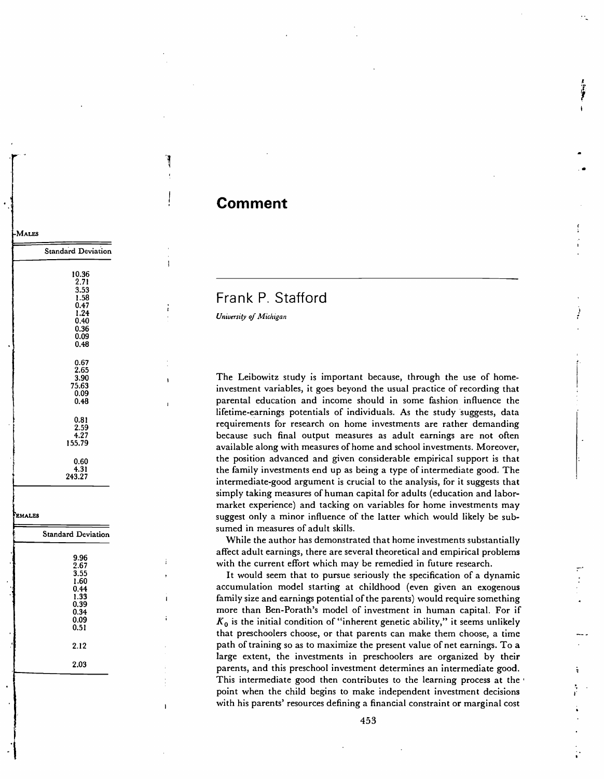# Comment

# 3.53 Frank P. Stafford

University of Michigan

The Leibowitz study is important because, through the use of homeinvestment variables, it goes beyond the usual practice of recording that parental education and income should in some fashion influence the lifetime-earnings potentials of individuals. As the study suggests, data requirements for research on home investments are rather demanding because such final output measures as adult earnings are not often available along with measures of home and school investments. Moreover, the position advanced and given considerable empirical support is that the family investments end up as being a type of intermediate good. The • intermediate-good argument is crucial to the analysis, for it suggests that simply taking measures of human capital for adults (education and labormarket experience) and tacking on variables for home investments may suggest only a minor influence of the latter which would likely be subsumed in measures of adult skills.<br>While the author has demonstrated that home investments substantially

affect adult earnings, there are several theoretical and empirical problems with the current effort which may be remedied in future research.

It would seem that to pursue seriously the specification of a dynamic accumulation model starting at childhood (even given an exogenous family size and earnings potential of the parents) would require something more than Ben-Porath's model of investment in human capital. For if  $K_0$  is the initial condition of "inherent genetic ability," it seems unlikely that preschoolers choose, or that parents can make them choose, a time path of training so as to maximize the present value of net earnings. To a large extent, the investments in preschoolers are organized by their parents, and this preschool investment determines an intermediate good. This intermediate good then contributes to the learning process at the point when the child begins to make independent investment decisions with his parents' resources defining a financial constraint or marginal cost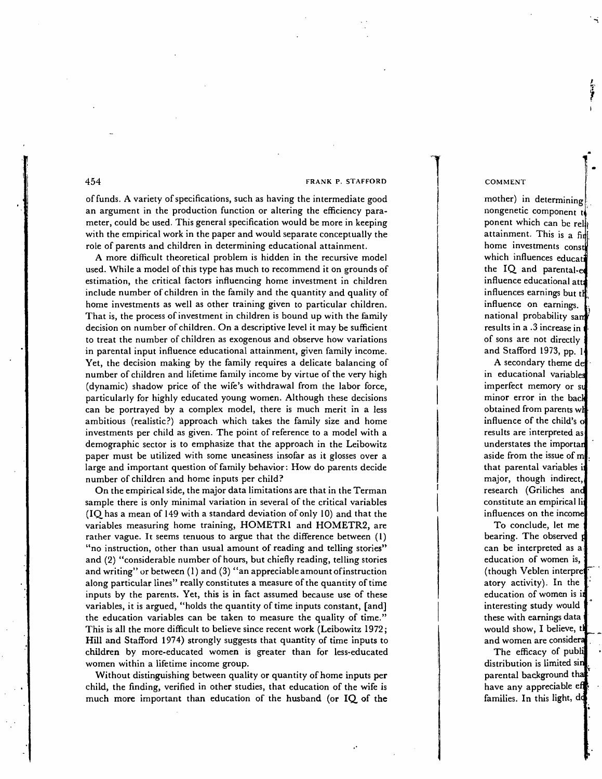$\ddot{\phantom{a}}$ 

of funds. A variety of specifications, such as having the intermediate good an argument in the production function or altering the efficiency parameter, could be used. This general specification would be more in keeping with the empirical work in the paper and would separate conceptually the role of parents and children in determining educational attainment.

A more difficult theoretical problem is hidden in the recursive model used. While a model of this type has much to recommend it on grounds of estimation, the critical factors influencing home investment in children include number of children in the family and the quantity and quality of home investments as well as other training given to particular children. That is, the process of investment in children is bound up with the family decision on number of children. On a descriptive level it may be sufficient to treat the number of children as exogenous and observe how variations in parental input influence educational attainment, given family income. Yet, the decision making by the family requires a delicate balancing of number of children and lifetime family income by virtue of the very high (dynamic) shadow price of the wife's withdrawal from the labor force, particularly for highly educated young women. Although these decisions can be portrayed by a complex model, there is much merit in a less ambitious (realistic?) approach which takes the family size and home investments per child as given. The point of reference to a model with a demographic sector is to emphasize that the approach in the Leibowitz paper must be utilized with some uneasiness insofar as it glosses over a large and important question of family behavior: How do parents decide number of children and home inputs per child?

On the empirical side, the major data limitations are that in the Terman sample there is only minimal variation in several of the critical variables (IQhas a mean of 149 with a standard deviation of only 10) and that the variables measuring home training, HOMETRI and HOMETR2, are rather vague. It seems tenuous to argue that the difference between (1) "no instruction, other than usual amount of reading and telling stories" and (2) "considerable number of hours, but chiefly reading, telling stories and writing" or between (1) and (3) "an appreciable amount of instruction along particular lines" really constitutes a measure of the quantity of time inputs by the parents. Yet, this is in fact assumed because use of these variables, it is argued, "holds the quantity of time inputs constant, [and] the education variables can be taken to measure the quality of time." This is all the more difficult to believe since recent work (Leibowitz 1972; Hill and Stafford 1974) strongly suggests that quantity of time inputs to children by more-educated women is greater than for less-educated women within a lifetime income group.

Without distinguishing between quality or quantity of home inputs per child, the finding, verified in other studies, that education of the wife is much more important than education of the husband (or IQ of the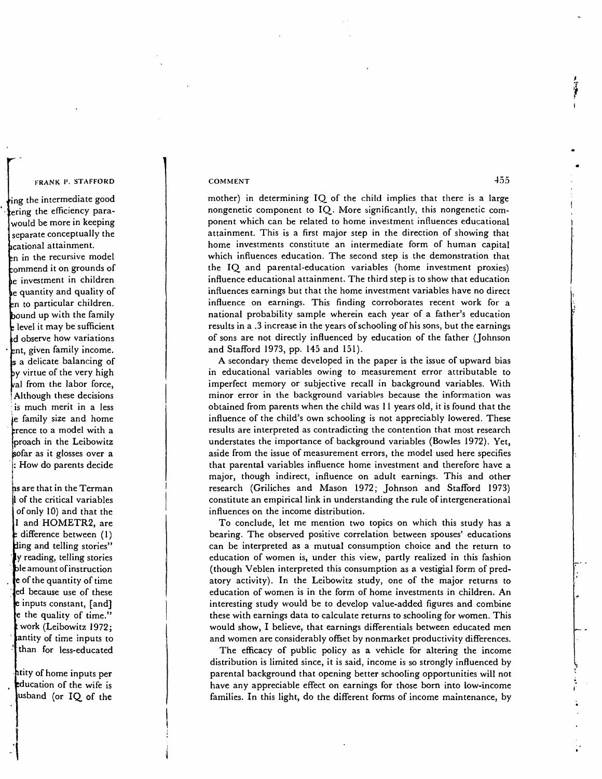mother) in determining IQ of the child implies that there is a large nongenetic component to IO. More significantly, this nongenetic component which can be related to home investment influences educational attainment. This is a first major step in the direction of showing that home investments constitute an intermediate form of human capital which influences education. The second step is the demonstration that the IQ and parental-education variables (home investment proxies) influence educational attainment. The third step is to show that education influences earnings but that the home investment variables have no direct influence on earnings. This finding corroborates recent work for a national probability sample wherein each year of a father's education results in a .3 increase in the years of schooling of his sons, but the earnings of sons are not directly influenced by education of the father (Johnson and Stafford 1973, pp. 145 and 151).

A secondary theme developed in the paper is the issue of upward bias in educational variables owing to measurement error attributable to imperfect memory or subjective recall in background variables. With minor error in the background variables because the information was obtained from parents when the child was 11 years old, it is found that the influence of the child's own schooling is not appreciably lowered. These results are interpreted as contradicting the contention that most research understates the importance of background variables (Bowles 1972). Yet, aside from the issue of measurement errors, the model used here specifies that parental variables influence home investment and therefore have a major, though indirect, influence on adult earnings. This and other research (Griliches and Mason 1972; Johnson and Stafford 1973) constitute an empirical link in understanding the rule of intergenerational influences on the income distribution. COMMERYT determining IQ of the child implies that there is a 135<br>nonogrocal component to IQ. More significantly, this nongencial com-<br>nongencal component to IQ. More significantly, this nongencial com-<br>nongencal trainment.

To conclude, let me mention two topics on which this study has a bearing. The observed positive correlation between spouses' educations can be interpreted as a mutual consumption choice and the return to education of women is, under this view, partly realized in this fashion (though Veblen interpreted this consumption as a vestigial form of predatory activity). In the Leibowitz study, one of the major returns to education of women is in the form of home investments in children. An interesting study would be to develop value-added figures and combine these with earnings data to calculate returns to schooling for women. This would show, I believe, that earnings differentials between educated men and women are considerably offset by nonmarket productivity differences.

The efficacy of public policy as a vehicle for altering the income distribution is limited since, it is said, income is so strongly influenced by parental background that opening better schooling opportunities will not have any appreciable effect on earnings for those born into low-income families. In this light, do the different forms of income maintenance, by